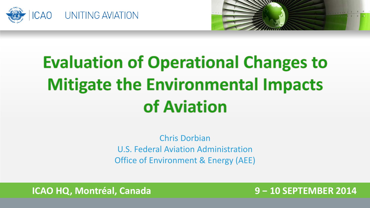



# **Evaluation of Operational Changes to Mitigate the Environmental Impacts** of Aviation

Chris Dorbian U.S. Federal Aviation Administration Office of Environment & Energy (AEE)

**ICAO HQ, Montréal, Canada 9 − 10 SEPTEMBER 2014**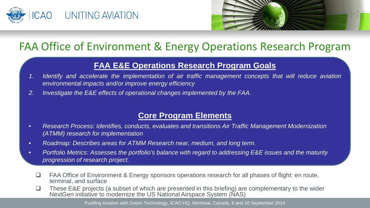



### FAA Office of Environment & Energy Operations Research Program

#### **FAA E&E Operations Research Program Goals**

- *1. Identify and accelerate the implementation of air traffic management concepts that will reduce aviation environmental impacts and/or improve energy efficiency*
- *2. Investigate the E&E effects of operational changes implemented by the FAA.*

#### **Core Program Elements**

- *Research Process: Identifies, conducts, evaluates and transitions Air Traffic Management Modernization (ATMM) research for implementation*
- *Roadmap: Describes areas for ATMM Research near, medium, and long term.*
- *Portfolio Metrics: Assesses the portfolio's balance with regard to addressing E&E issues and the maturity progression of research project.*
	- □ FAA Office of Environment & Energy sponsors operations research for all phases of flight: en route, terminal, and surface
	- $\Box$  These E&E projects (a subset of which are presented in this briefing) are complementary to the wider NextGen initiative to modernize the US National Airspace System (NAS)

Fuelling Aviation with Green Technology, ICAO HQ, Montreal, Canada, 9 and 10 September 2014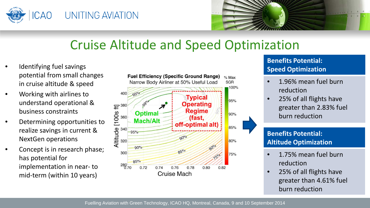



### Cruise Altitude and Speed Optimization

- Identifying fuel savings potential from small changes in cruise altitude & speed
- Working with airlines to understand operational & business constraints
- Determining opportunities to realize savings in current & NextGen operations
- Concept is in research phase; has potential for implementation in near- to mid-term (within 10 years)



#### **Benefits Potential: Speed Optimization**

- 1.96% mean fuel burn reduction
- 25% of all flights have greater than 2.83% fuel burn reduction

#### **Benefits Potential: Altitude Optimization**

- 1.75% mean fuel burn reduction
- 25% of all flights have greater than 4.61% fuel burn reduction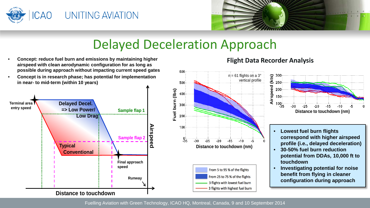



### Delayed Deceleration Approach

- **Concept: reduce fuel burn and emissions by maintaining higher airspeed with clean aerodynamic configuration for as long as possible during approach without impacting current speed gates**
- **Concept is in research phase; has potential for implementation in near- to mid-term (within 10 years)**





#### **Flight Data Recorder Analysis**



- **Lowest fuel burn flights correspond with higher airspeed profile (i.e., delayed deceleration)**
- **potential from DDAs, 10,000 ft to** • **30-50% fuel burn reduction touchdown**
- **Investigating potential for noise benefit from flying in cleaner configuration during approach**

Fuelling Aviation with Green Technology, ICAO HQ, Montreal, Canada, 9 and 10 September 2014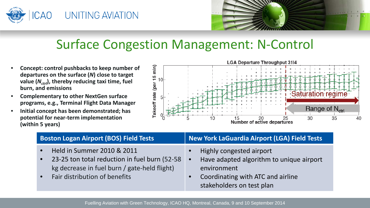



### Surface Congestion Management: N-Control

- **Concept: control pushbacks to keep number of departures on the surface (***N***) close to target value (***Nctrl***), thereby reducing taxi time, fuel burn, and emissions**
- **Complementary to other NextGen surface programs, e.g., Terminal Flight Data Manager**
- **Initial concept has been demonstrated; has potential for near-term implementation (within 5 years)**



| <b>Boston Logan Airport (BOS) Field Tests</b>                                                                                                                                                       | New York LaGuardia Airport (LGA) Field Tests                                                                                                                       |
|-----------------------------------------------------------------------------------------------------------------------------------------------------------------------------------------------------|--------------------------------------------------------------------------------------------------------------------------------------------------------------------|
| Held in Summer 2010 & 2011<br>$\bullet$<br>23-25 ton total reduction in fuel burn (52-58<br>$\bullet$<br>kg decrease in fuel burn / gate-held flight)<br>Fair distribution of benefits<br>$\bullet$ | Highly congested airport<br>Have adapted algorithm to unique airport<br>$\bullet$<br>environment<br>Coordinating with ATC and airline<br>stakeholders on test plan |